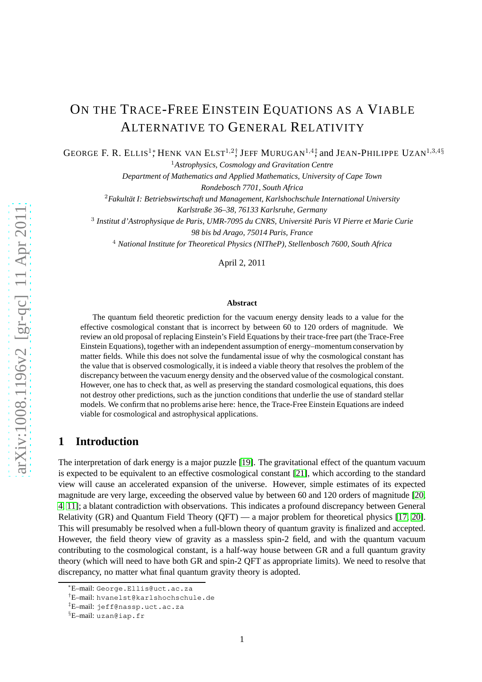# ON THE TRACE-FREE EINSTEIN EQUATIONS AS A VIABLE ALTERNATIVE TO GENERAL RELATIVITY

GEORGE F. R. ELLIS<sup>1</sup><sup>\*</sup>, HENK VAN ELST<sup>1,2</sup><sup>†</sup>, JEFF MURUGAN<sup>1,4</sup><sup>‡</sup>, and JEAN-PHILIPPE UZAN<sup>1,3,4§</sup>

<sup>1</sup>*Astrophysics, Cosmology and Gravitation Centre*

*Department of Mathematics and Applied Mathematics, University of Cape Town*

*Rondebosch 7701, South Africa*

<sup>2</sup>Fakultät I: Betriebswirtschaft und Management, Karlshochschule International University *Karlstraße 36–38, 76133 Karlsruhe, Germany*

3 *Institut d'Astrophysique de Paris, UMR-7095 du CNRS, Universite Paris VI Pierre et Marie Curie ´*

*98 bis bd Arago, 75014 Paris, France*

<sup>4</sup> *National Institute for Theoretical Physics (NITheP), Stellenbosch 7600, South Africa*

April 2, 2011

#### **Abstract**

The quantum field theoretic prediction for the vacuum energy density leads to a value for the effective cosmological constant that is incorrect by between 60 to 120 orders of magnitude. We review an old proposal of replacing Einstein's Field Equations by their trace-free part (the Trace-Free Einstein Equations), together with an independent assumption of energy–momentum conservation by matter fields. While this does not solve the fundamental issue of why the cosmological constant has the value that is observed cosmologically, it is indeed a viable theory that resolves the problem of the discrepancy between the vacuum energy density and the observed value of the cosmological constant. However, one has to check that, as well as preserving the standard cosmological equations, this does not destroy other predictions, such as the junction conditions that underlie the use of standard stellar models. We confirm that no problems arise here: hence, the Trace-Free Einstein Equations are indeed viable for cosmological and astrophysical applications.

# **1 Introduction**

The interpretation of dark energy is a major puzzle [\[19\]](#page-10-0). The gravitational effect of the quantum vacuum is expected to be equivalent to an effective cosmological constant [\[21\]](#page-10-1), which according to the standard view will cause an accelerated expansion of the universe. However, simple estimates of its expected magnitude are very large, exceeding the observed value by between 60 and 120 orders of magnitude [\[20,](#page-10-2) [4,](#page-9-0) [11\]](#page-10-3); a blatant contradiction with observations. This indicates a profound discrepancy between General Relativity (GR) and Quantum Field Theory (QFT) — a major problem for theoretical physics [\[17,](#page-10-4) [20\]](#page-10-2). This will presumably be resolved when a full-blown theory of quantum gravity is finalized and accepted. However, the field theory view of gravity as a massless spin-2 field, and with the quantum vacuum contributing to the cosmological constant, is a half-way house between GR and a full quantum gravity theory (which will need to have both GR and spin-2 QFT as appropriate limits). We need to resolve that discrepancy, no matter what final quantum gravity theory is adopted.

<sup>∗</sup>E–mail: George.Ellis@uct.ac.za

<sup>†</sup>E–mail: hvanelst@karlshochschule.de

<sup>‡</sup>E–mail: jeff@nassp.uct.ac.za

<sup>§</sup>E–mail: uzan@iap.fr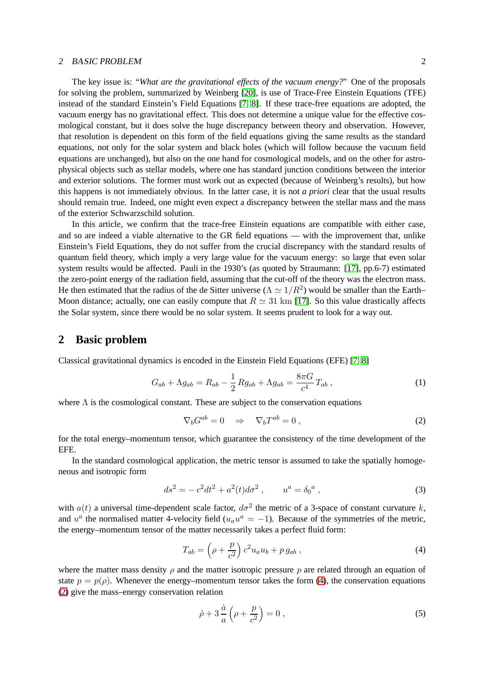#### 2 BASIC PROBLEM 2

The key issue is: "*What are the gravitational effects of the vacuum energy?*" One of the proposals for solving the problem, summarized by Weinberg [\[20\]](#page-10-2), is use of Trace-Free Einstein Equations (TFE) instead of the standard Einstein's Field Equations [\[7,](#page-9-1) [8\]](#page-9-2). If these trace-free equations are adopted, the vacuum energy has no gravitational effect. This does not determine a unique value for the effective cosmological constant, but it does solve the huge discrepancy between theory and observation. However, that resolution is dependent on this form of the field equations giving the same results as the standard equations, not only for the solar system and black holes (which will follow because the vacuum field equations are unchanged), but also on the one hand for cosmological models, and on the other for astrophysical objects such as stellar models, where one has standard junction conditions between the interior and exterior solutions. The former must work out as expected (because of Weinberg's results), but how this happens is not immediately obvious. In the latter case, it is not *a priori* clear that the usual results should remain true. Indeed, one might even expect a discrepancy between the stellar mass and the mass of the exterior Schwarzschild solution.

In this article, we confirm that the trace-free Einstein equations are compatible with either case, and so are indeed a viable alternative to the GR field equations — with the improvement that, unlike Einstein's Field Equations, they do not suffer from the crucial discrepancy with the standard results of quantum field theory, which imply a very large value for the vacuum energy: so large that even solar system results would be affected. Pauli in the 1930's (as quoted by Straumann: [\[17\]](#page-10-4), pp.6-7) estimated the zero-point energy of the radiation field, assuming that the cut-off of the theory was the electron mass. He then estimated that the radius of the de Sitter universe ( $\Lambda \simeq 1/R^2$ ) would be smaller than the Earth– Moon distance; actually, one can easily compute that  $R \simeq 31 \text{ km}$  [\[17\]](#page-10-4). So this value drastically affects the Solar system, since there would be no solar system. It seems prudent to look for a way out.

## **2 Basic problem**

Classical gravitational dynamics is encoded in the Einstein Field Equations (EFE) [\[7,](#page-9-1) [8\]](#page-9-2)

<span id="page-1-3"></span>
$$
G_{ab} + \Lambda g_{ab} = R_{ab} - \frac{1}{2} R g_{ab} + \Lambda g_{ab} = \frac{8\pi G}{c^4} T_{ab} , \qquad (1)
$$

where  $\Lambda$  is the cosmological constant. These are subject to the conservation equations

<span id="page-1-1"></span>
$$
\nabla_b G^{ab} = 0 \quad \Rightarrow \quad \nabla_b T^{ab} = 0 \,, \tag{2}
$$

for the total energy–momentum tensor, which guarantee the consistency of the time development of the EFE.

In the standard cosmological application, the metric tensor is assumed to take the spatially homogeneous and isotropic form

<span id="page-1-2"></span>
$$
ds^{2} = -c^{2}dt^{2} + a^{2}(t)d\sigma^{2} , \qquad u^{a} = \delta_{0}{}^{a} , \qquad (3)
$$

with  $a(t)$  a universal time-dependent scale factor,  $d\sigma^2$  the metric of a 3-space of constant curvature k, and  $u^a$  the normalised matter 4-velocity field ( $u_a u^a = -1$ ). Because of the symmetries of the metric, the energy–momentum tensor of the matter necessarily takes a perfect fluid form:

<span id="page-1-0"></span>
$$
T_{ab} = \left(\rho + \frac{p}{c^2}\right)c^2 u_a u_b + p g_{ab} ,\qquad (4)
$$

where the matter mass density  $\rho$  and the matter isotropic pressure p are related through an equation of state  $p = p(\rho)$ . Whenever the energy–momentum tensor takes the form [\(4\)](#page-1-0), the conservation equations [\(2\)](#page-1-1) give the mass–energy conservation relation

<span id="page-1-4"></span>
$$
\dot{\rho} + 3\frac{\dot{a}}{a}\left(\rho + \frac{p}{c^2}\right) = 0\,,\tag{5}
$$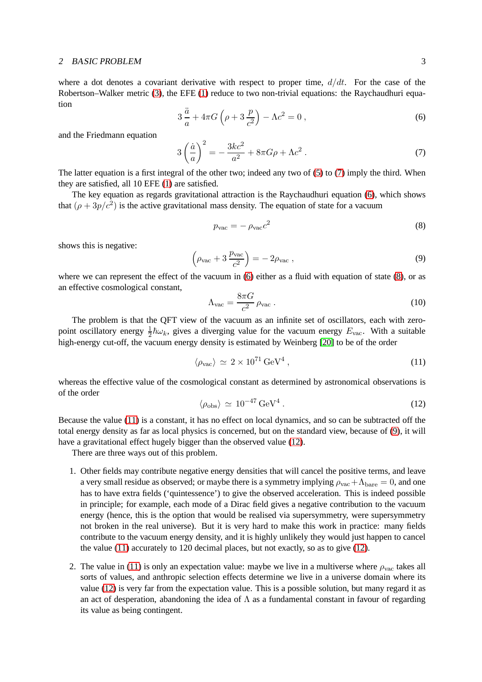#### 2 BASIC PROBLEM 3

where a dot denotes a covariant derivative with respect to proper time,  $d/dt$ . For the case of the Robertson–Walker metric [\(3\)](#page-1-2), the EFE [\(1\)](#page-1-3) reduce to two non-trivial equations: the Raychaudhuri equation

<span id="page-2-1"></span>
$$
3\frac{\ddot{a}}{a} + 4\pi G\left(\rho + 3\frac{p}{c^2}\right) - \Lambda c^2 = 0\,,\tag{6}
$$

and the Friedmann equation

<span id="page-2-0"></span>
$$
3\left(\frac{\dot{a}}{a}\right)^2 = -\frac{3kc^2}{a^2} + 8\pi G\rho + \Lambda c^2 \,. \tag{7}
$$

The latter equation is a first integral of the other two; indeed any two of [\(5\)](#page-1-4) to [\(7\)](#page-2-0) imply the third. When they are satisfied, all 10 EFE [\(1\)](#page-1-3) are satisfied.

The key equation as regards gravitational attraction is the Raychaudhuri equation [\(6\)](#page-2-1), which shows that  $(\rho + 3p/c^2)$  is the active gravitational mass density. The equation of state for a vacuum

<span id="page-2-2"></span>
$$
p_{\rm vac} = -\rho_{\rm vac}c^2\tag{8}
$$

shows this is negative:

<span id="page-2-4"></span>
$$
\left(\rho_{\text{vac}} + 3 \frac{p_{\text{vac}}}{c^2}\right) = -2\rho_{\text{vac}} ,\qquad (9)
$$

where we can represent the effect of the vacuum in [\(6\)](#page-2-1) either as a fluid with equation of state [\(8\)](#page-2-2), or as an effective cosmological constant,

$$
\Lambda_{\text{vac}} = \frac{8\pi G}{c^2} \rho_{\text{vac}} \,. \tag{10}
$$

The problem is that the QFT view of the vacuum as an infinite set of oscillators, each with zeropoint oscillatory energy  $\frac{1}{2}\hbar\omega_k$ , gives a diverging value for the vacuum energy  $E_{\text{vac}}$ . With a suitable high-energy cut-off, the vacuum energy density is estimated by Weinberg [\[20\]](#page-10-2) to be of the order

<span id="page-2-3"></span>
$$
\langle \rho_{\text{vac}} \rangle \simeq 2 \times 10^{71} \,\text{GeV}^4 \,, \tag{11}
$$

whereas the effective value of the cosmological constant as determined by astronomical observations is of the order

<span id="page-2-5"></span>
$$
\langle \rho_{\rm obs} \rangle \simeq 10^{-47} \,\text{GeV}^4 \,. \tag{12}
$$

Because the value [\(11\)](#page-2-3) is a constant, it has no effect on local dynamics, and so can be subtracted off the total energy density as far as local physics is concerned, but on the standard view, because of [\(9\)](#page-2-4), it will have a gravitational effect hugely bigger than the observed value [\(12\)](#page-2-5).

There are three ways out of this problem.

- 1. Other fields may contribute negative energy densities that will cancel the positive terms, and leave a very small residue as observed; or maybe there is a symmetry implying  $\rho_{\rm vac} + \Lambda_{\rm bare} = 0$ , and one has to have extra fields ('quintessence') to give the observed acceleration. This is indeed possible in principle; for example, each mode of a Dirac field gives a negative contribution to the vacuum energy (hence, this is the option that would be realised via supersymmetry, were supersymmetry not broken in the real universe). But it is very hard to make this work in practice: many fields contribute to the vacuum energy density, and it is highly unlikely they would just happen to cancel the value [\(11\)](#page-2-3) accurately to 120 decimal places, but not exactly, so as to give [\(12\)](#page-2-5).
- 2. The value in [\(11\)](#page-2-3) is only an expectation value: maybe we live in a multiverse where  $\rho_{\text{vac}}$  takes all sorts of values, and anthropic selection effects determine we live in a universe domain where its value [\(12\)](#page-2-5) is very far from the expectation value. This is a possible solution, but many regard it as an act of desperation, abandoning the idea of  $\Lambda$  as a fundamental constant in favour of regarding its value as being contingent.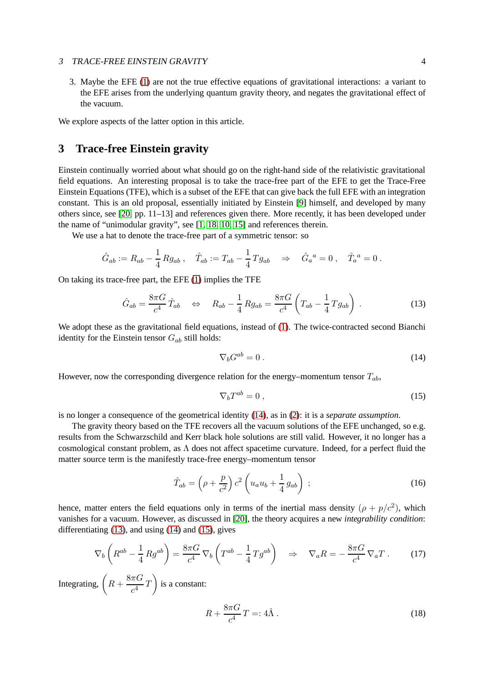#### <sup>3</sup> TRACE-FREE EINSTEIN GRAVITY 4

3. Maybe the EFE [\(1\)](#page-1-3) are not the true effective equations of gravitational interactions: a variant to the EFE arises from the underlying quantum gravity theory, and negates the gravitational effect of the vacuum.

We explore aspects of the latter option in this article.

# **3 Trace-free Einstein gravity**

Einstein continually worried about what should go on the right-hand side of the relativistic gravitational field equations. An interesting proposal is to take the trace-free part of the EFE to get the Trace-Free Einstein Equations (TFE), which is a subset of the EFE that can give back the full EFE with an integration constant. This is an old proposal, essentially initiated by Einstein [\[9\]](#page-10-5) himself, and developed by many others since, see [\[20,](#page-10-2) pp. 11–13] and references given there. More recently, it has been developed under the name of "unimodular gravity", see [\[1,](#page-9-3) [18,](#page-10-6) [10,](#page-10-7) [15\]](#page-10-8) and references therein.

We use a hat to denote the trace-free part of a symmetric tensor: so

$$
\hat{G}_{ab} := R_{ab} - \frac{1}{4} R g_{ab} , \quad \hat{T}_{ab} := T_{ab} - \frac{1}{4} T g_{ab} \quad \Rightarrow \quad \hat{G}_a{}^a = 0 , \quad \hat{T}_a{}^a = 0 .
$$

On taking its trace-free part, the EFE [\(1\)](#page-1-3) implies the TFE

<span id="page-3-1"></span>
$$
\hat{G}_{ab} = \frac{8\pi G}{c^4} \hat{T}_{ab} \quad \Leftrightarrow \quad R_{ab} - \frac{1}{4} R g_{ab} = \frac{8\pi G}{c^4} \left( T_{ab} - \frac{1}{4} T g_{ab} \right) \,. \tag{13}
$$

We adopt these as the gravitational field equations, instead of [\(1\)](#page-1-3). The twice-contracted second Bianchi identity for the Einstein tensor  $G_{ab}$  still holds:

<span id="page-3-0"></span>
$$
\nabla_b G^{ab} = 0 \tag{14}
$$

However, now the corresponding divergence relation for the energy–momentum tensor  $T_{ab}$ ,

<span id="page-3-2"></span>
$$
\nabla_b T^{ab} = 0 \,, \tag{15}
$$

is no longer a consequence of the geometrical identity [\(14\)](#page-3-0), as in [\(2\)](#page-1-1): it is a *separate assumption*.

The gravity theory based on the TFE recovers all the vacuum solutions of the EFE unchanged, so e.g. results from the Schwarzschild and Kerr black hole solutions are still valid. However, it no longer has a cosmological constant problem, as  $\Lambda$  does not affect spacetime curvature. Indeed, for a perfect fluid the matter source term is the manifestly trace-free energy–momentum tensor

$$
\hat{T}_{ab} = \left(\rho + \frac{p}{c^2}\right)c^2 \left(u_a u_b + \frac{1}{4} g_{ab}\right) ;\tag{16}
$$

hence, matter enters the field equations only in terms of the inertial mass density  $(\rho + p/c^2)$ , which vanishes for a vacuum. However, as discussed in [\[20\]](#page-10-2), the theory acquires a new *integrability condition*: differentiating [\(13\)](#page-3-1), and using [\(14\)](#page-3-0) and [\(15\)](#page-3-2), gives

<span id="page-3-3"></span>
$$
\nabla_b \left( R^{ab} - \frac{1}{4} R g^{ab} \right) = \frac{8\pi G}{c^4} \nabla_b \left( T^{ab} - \frac{1}{4} T g^{ab} \right) \quad \Rightarrow \quad \nabla_a R = -\frac{8\pi G}{c^4} \nabla_a T \,. \tag{17}
$$

Integrating,  $\left(R + \frac{8\pi G}{4}\right)$  $\left(\frac{\pi G}{c^4}T\right)$  is a constant:

<span id="page-3-4"></span>
$$
R + \frac{8\pi G}{c^4}T = 4\hat{\Lambda} \,. \tag{18}
$$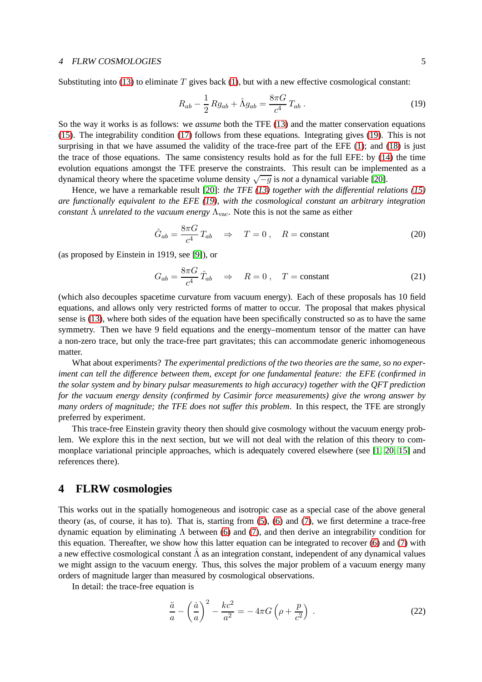#### 4 FLRW COSMOLOGIES 5

Substituting into [\(13\)](#page-3-1) to eliminate  $T$  gives back [\(1\)](#page-1-3), but with a new effective cosmological constant:

<span id="page-4-0"></span>
$$
R_{ab} - \frac{1}{2} R g_{ab} + \hat{\Lambda} g_{ab} = \frac{8\pi G}{c^4} T_{ab} . \tag{19}
$$

So the way it works is as follows: we *assume* both the TFE [\(13\)](#page-3-1) and the matter conservation equations [\(15\)](#page-3-2). The integrability condition [\(17\)](#page-3-3) follows from these equations. Integrating gives [\(19\)](#page-4-0). This is not surprising in that we have assumed the validity of the trace-free part of the EFE [\(1\)](#page-1-3); and [\(18\)](#page-3-4) is just the trace of those equations. The same consistency results hold as for the full EFE: by [\(14\)](#page-3-0) the time evolution equations amongst the TFE preserve the constraints. This result can be implemented as a dynamical theory where the spacetime volume density  $\sqrt{-g}$  is *not* a dynamical variable [\[20\]](#page-10-2).

Hence, we have a remarkable result [\[20\]](#page-10-2): *the TFE [\(13\)](#page-3-1) together with the differential relations [\(15\)](#page-3-2) are functionally equivalent to the EFE [\(19\)](#page-4-0), with the cosmological constant an arbitrary integration constant*  $\Lambda$  *unrelated to the vacuum energy*  $\Lambda_{\text{vac}}$ . Note this is not the same as either

$$
\hat{G}_{ab} = \frac{8\pi G}{c^4} T_{ab} \quad \Rightarrow \quad T = 0 \,, \quad R = \text{constant} \tag{20}
$$

(as proposed by Einstein in 1919, see [\[9\]](#page-10-5)), or

$$
G_{ab} = \frac{8\pi G}{c^4} \hat{T}_{ab} \quad \Rightarrow \quad R = 0 \,, \quad T = \text{constant} \tag{21}
$$

(which also decouples spacetime curvature from vacuum energy). Each of these proposals has 10 field equations, and allows only very restricted forms of matter to occur. The proposal that makes physical sense is [\(13\)](#page-3-1), where both sides of the equation have been specifically constructed so as to have the same symmetry. Then we have 9 field equations and the energy–momentum tensor of the matter can have a non-zero trace, but only the trace-free part gravitates; this can accommodate generic inhomogeneous matter.

What about experiments? *The experimental predictions of the two theories are the same, so no experiment can tell the difference between them, except for one fundamental feature: the EFE (confirmed in the solar system and by binary pulsar measurements to high accuracy) together with the QFT prediction for the vacuum energy density (confirmed by Casimir force measurements) give the wrong answer by many orders of magnitude; the TFE does not suffer this problem*. In this respect, the TFE are strongly preferred by experiment.

This trace-free Einstein gravity theory then should give cosmology without the vacuum energy problem. We explore this in the next section, but we will not deal with the relation of this theory to commonplace variational principle approaches, which is adequately covered elsewhere (see [\[1,](#page-9-3) [20,](#page-10-2) [15\]](#page-10-8) and references there).

### **4 FLRW cosmologies**

This works out in the spatially homogeneous and isotropic case as a special case of the above general theory (as, of course, it has to). That is, starting from [\(5\)](#page-1-4), [\(6\)](#page-2-1) and [\(7\)](#page-2-0), we first determine a trace-free dynamic equation by eliminating Λ between [\(6\)](#page-2-1) and [\(7\)](#page-2-0), and then derive an integrability condition for this equation. Thereafter, we show how this latter equation can be integrated to recover [\(6\)](#page-2-1) and [\(7\)](#page-2-0) with a new effective cosmological constant  $\hat{\Lambda}$  as an integration constant, independent of any dynamical values we might assign to the vacuum energy. Thus, this solves the major problem of a vacuum energy many orders of magnitude larger than measured by cosmological observations.

In detail: the trace-free equation is

<span id="page-4-1"></span>
$$
\frac{\ddot{a}}{a} - \left(\frac{\dot{a}}{a}\right)^2 - \frac{kc^2}{a^2} = -4\pi G \left(\rho + \frac{p}{c^2}\right) \,. \tag{22}
$$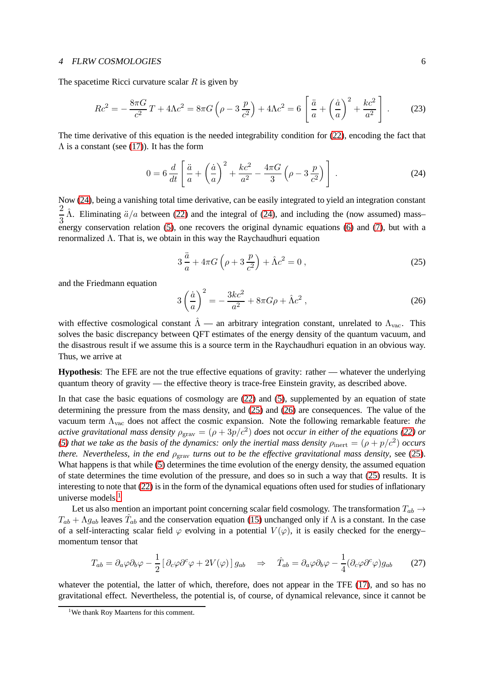#### <sup>4</sup> FLRW COSMOLOGIES 6

The spacetime Ricci curvature scalar  $R$  is given by

$$
Rc^2 = -\frac{8\pi G}{c^2}T + 4\Lambda c^2 = 8\pi G\left(\rho - 3\frac{p}{c^2}\right) + 4\Lambda c^2 = 6\left[\frac{\ddot{a}}{a} + \left(\frac{\dot{a}}{a}\right)^2 + \frac{kc^2}{a^2}\right].
$$
 (23)

The time derivative of this equation is the needed integrability condition for [\(22\)](#page-4-1), encoding the fact that  $\Lambda$  is a constant (see [\(17\)](#page-3-3)). It has the form

<span id="page-5-0"></span>
$$
0 = 6 \frac{d}{dt} \left[ \frac{\ddot{a}}{a} + \left( \frac{\dot{a}}{a} \right)^2 + \frac{kc^2}{a^2} - \frac{4\pi G}{3} \left( \rho - 3 \frac{p}{c^2} \right) \right].
$$
 (24)

Now [\(24\)](#page-5-0), being a vanishing total time derivative, can be easily integrated to yield an integration constant 2  $\frac{2}{3}$   $\hat{\Lambda}$ . Eliminating  $\ddot{a}/a$  between [\(22\)](#page-4-1) and the integral of [\(24\)](#page-5-0), and including the (now assumed) mass– energy conservation relation [\(5\)](#page-1-4), one recovers the original dynamic equations [\(6\)](#page-2-1) and [\(7\)](#page-2-0), but with a renormalized Λ. That is, we obtain in this way the Raychaudhuri equation

<span id="page-5-1"></span>
$$
3\frac{\ddot{a}}{a} + 4\pi G\left(\rho + 3\frac{p}{c^2}\right) + \hat{\Lambda}c^2 = 0,
$$
\n(25)

and the Friedmann equation

<span id="page-5-2"></span>
$$
3\left(\frac{\dot{a}}{a}\right)^2 = -\frac{3kc^2}{a^2} + 8\pi G\rho + \hat{\Lambda}c^2,
$$
\n(26)

with effective cosmological constant  $\hat{\Lambda}$  — an arbitrary integration constant, unrelated to  $\Lambda_{\text{vac}}$ . This solves the basic discrepancy between QFT estimates of the energy density of the quantum vacuum, and the disastrous result if we assume this is a source term in the Raychaudhuri equation in an obvious way. Thus, we arrive at

**Hypothesis**: The EFE are not the true effective equations of gravity: rather — whatever the underlying quantum theory of gravity — the effective theory is trace-free Einstein gravity, as described above.

In that case the basic equations of cosmology are [\(22\)](#page-4-1) and [\(5\)](#page-1-4), supplemented by an equation of state determining the pressure from the mass density, and [\(25\)](#page-5-1) and [\(26\)](#page-5-2) are consequences. The value of the vacuum term Λvac does not affect the cosmic expansion. Note the following remarkable feature: *the active gravitational mass density*  $\rho_{\rm grav} = (\rho + 3p/c^2)$  does not *occur in either of the equations* [\(22\)](#page-4-1) or *[\(5\)](#page-1-4)* that we take as the basis of the dynamics: only the inertial mass density  $\rho_{\rm inert} = (\rho + p/c^2)$  occurs *there. Nevertheless, in the end*  $\rho_{grav}$  *turns out to be the effective gravitational mass density, see [\(25\)](#page-5-1).* What happens is that while [\(5\)](#page-1-4) determines the time evolution of the energy density, the assumed equation of state determines the time evolution of the pressure, and does so in such a way that [\(25\)](#page-5-1) results. It is interesting to note that [\(22\)](#page-4-1) is in the form of the dynamical equations often used for studies of inflationary universe models.<sup>[1](#page-5-3)</sup>

Let us also mention an important point concerning scalar field cosmology. The transformation  $T_{ab} \rightarrow$  $T_{ab} + \Lambda g_{ab}$  leaves  $\hat{T}_{ab}$  and the conservation equation [\(15\)](#page-3-2) unchanged only if  $\Lambda$  is a constant. In the case of a self-interacting scalar field  $\varphi$  evolving in a potential  $V(\varphi)$ , it is easily checked for the energy– momentum tensor that

$$
T_{ab} = \partial_a \varphi \partial_b \varphi - \frac{1}{2} \left[ \partial_c \varphi \partial^c \varphi + 2V(\varphi) \right] g_{ab} \quad \Rightarrow \quad \hat{T}_{ab} = \partial_a \varphi \partial_b \varphi - \frac{1}{4} (\partial_c \varphi \partial^c \varphi) g_{ab} \tag{27}
$$

whatever the potential, the latter of which, therefore, does not appear in the TFE [\(17\)](#page-3-3), and so has no gravitational effect. Nevertheless, the potential is, of course, of dynamical relevance, since it cannot be

<span id="page-5-3"></span><sup>&</sup>lt;sup>1</sup>We thank Roy Maartens for this comment.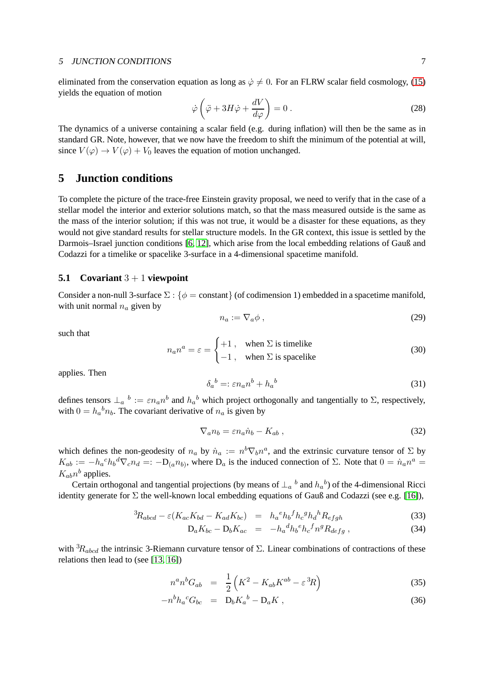#### <sup>5</sup> JUNCTION CONDITIONS 7

eliminated from the conservation equation as long as  $\dot{\varphi} \neq 0$ . For an FLRW scalar field cosmology, [\(15\)](#page-3-2) yields the equation of motion

$$
\dot{\varphi}\left(\ddot{\varphi} + 3H\dot{\varphi} + \frac{dV}{d\varphi}\right) = 0.
$$
\n(28)

The dynamics of a universe containing a scalar field (e.g. during inflation) will then be the same as in standard GR. Note, however, that we now have the freedom to shift the minimum of the potential at will, since  $V(\varphi) \to V(\varphi) + V_0$  leaves the equation of motion unchanged.

# **5 Junction conditions**

To complete the picture of the trace-free Einstein gravity proposal, we need to verify that in the case of a stellar model the interior and exterior solutions match, so that the mass measured outside is the same as the mass of the interior solution; if this was not true, it would be a disaster for these equations, as they would not give standard results for stellar structure models. In the GR context, this issue is settled by the Darmois–Israel junction conditions [\[6,](#page-9-4) [12\]](#page-10-9), which arise from the local embedding relations of Gauß and Codazzi for a timelike or spacelike 3-surface in a 4-dimensional spacetime manifold.

#### **5.1 Covariant** 3 + 1 **viewpoint**

Consider a non-null 3-surface  $\Sigma$  : { $\phi$  = constant} (of codimension 1) embedded in a spacetime manifold, with unit normal  $n_a$  given by

$$
n_a := \nabla_a \phi \,,\tag{29}
$$

such that

$$
n_a n^a = \varepsilon = \begin{cases} +1, & \text{when } \Sigma \text{ is timelike} \\ -1, & \text{when } \Sigma \text{ is spacelike} \end{cases}
$$
 (30)

applies. Then

$$
\delta_a{}^b =: \varepsilon n_a n^b + h_a{}^b \tag{31}
$$

defines tensors  $\perp_a b := \varepsilon n_a n^b$  and  $h_a{}^b$  which project orthogonally and tangentially to  $\Sigma$ , respectively, with  $0 = h_a{}^b n_b$ . The covariant derivative of  $n_a$  is given by

<span id="page-6-1"></span>
$$
\nabla_a n_b = \varepsilon n_a \dot{n}_b - K_{ab} \,, \tag{32}
$$

which defines the non-geodesity of  $n_a$  by  $\dot{n}_a := n^b \nabla_b n^a$ , and the extrinsic curvature tensor of  $\Sigma$  by  $K_{ab} := -h_a{}^c h_b{}^d \nabla_c n_d =: -D_{(a}n_{b)},$  where  $D_a$  is the induced connection of  $\Sigma$ . Note that  $0 = \dot{n}_a n^a =$  $K_{ab}n^b$  applies.

Certain orthogonal and tangential projections (by means of  $\perp_a$ <sup>b</sup> and  $h_a$ <sup>b</sup>) of the 4-dimensional Ricci identity generate for  $\Sigma$  the well-known local embedding equations of Gauß and Codazzi (see e.g. [\[16\]](#page-10-10)),

<span id="page-6-2"></span>
$$
{}^{3}R_{abcd} - \varepsilon (K_{ac}K_{bd} - K_{ad}K_{bc}) = h_a{}^{e}h_b{}^{f}h_c{}^{g}h_d{}^{h}R_{efgh}
$$
\n(33)

$$
D_a K_{bc} - D_b K_{ac} = -h_a^d h_b^e h_c^f n^g R_{defg} , \qquad (34)
$$

with  ${}^{3}R_{abcd}$  the intrinsic 3-Riemann curvature tensor of  $\Sigma$ . Linear combinations of contractions of these relations then lead to (see [\[13,](#page-10-11) [16\]](#page-10-10))

<span id="page-6-0"></span>
$$
n^a n^b G_{ab} = \frac{1}{2} \left( K^2 - K_{ab} K^{ab} - \varepsilon^3 R \right) \tag{35}
$$

$$
-n^b h_a{}^c G_{bc} = \mathbf{D}_b K_a{}^b - \mathbf{D}_a K \,, \tag{36}
$$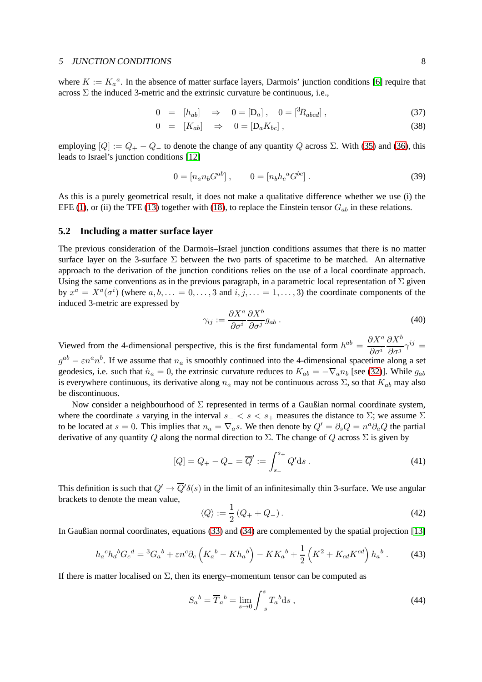#### <sup>5</sup> JUNCTION CONDITIONS 8

where  $K := K_a^a$ . In the absence of matter surface layers, Darmois' junction conditions [\[6\]](#page-9-4) require that across  $\Sigma$  the induced 3-metric and the extrinsic curvature be continuous, i.e.,

<span id="page-7-1"></span>
$$
0 = [h_{ab}] \Rightarrow 0 = [D_a], \quad 0 = [{}^3R_{abcd}], \tag{37}
$$

$$
0 = [K_{ab}] \Rightarrow 0 = [D_a K_{bc}], \qquad (38)
$$

employing  $[Q] := Q_+ - Q_-$  to denote the change of any quantity Q across  $\Sigma$ . With [\(35\)](#page-6-0) and [\(36\)](#page-6-0), this leads to Israel's junction conditions [\[12\]](#page-10-9)

$$
0 = [n_a n_b G^{ab}], \qquad 0 = [n_b h_c{}^a G^{bc}]. \tag{39}
$$

As this is a purely geometrical result, it does not make a qualitative difference whether we use (i) the EFE [\(1\)](#page-1-3), or (ii) the TFE [\(13\)](#page-3-1) together with [\(18\)](#page-3-4), to replace the Einstein tensor  $G_{ab}$  in these relations.

### **5.2 Including a matter surface layer**

The previous consideration of the Darmois–Israel junction conditions assumes that there is no matter surface layer on the 3-surface  $\Sigma$  between the two parts of spacetime to be matched. An alternative approach to the derivation of the junction conditions relies on the use of a local coordinate approach. Using the same conventions as in the previous paragraph, in a parametric local representation of  $\Sigma$  given by  $x^a = X^a(\sigma^i)$  (where  $a, b, \ldots = 0, \ldots, 3$  and  $i, j, \ldots = 1, \ldots, 3$ ) the coordinate components of the induced 3-metric are expressed by

$$
\gamma_{ij} := \frac{\partial X^a}{\partial \sigma^i} \frac{\partial X^b}{\partial \sigma^j} g_{ab} \,. \tag{40}
$$

Viewed from the 4-dimensional perspective, this is the first fundamental form  $h^{ab} = \frac{\partial X^a}{\partial x^b}$  $\partial\sigma^i$  $\partial X^b$  $\frac{\partial A}{\partial \sigma^j} \gamma^{ij} =$  $g^{ab} - \varepsilon n^a n^b$ . If we assume that  $n_a$  is smoothly continued into the 4-dimensional spacetime along a set geodesics, i.e. such that  $\dot{n}_a = 0$ , the extrinsic curvature reduces to  $K_{ab} = -\nabla_a n_b$  [see [\(32\)](#page-6-1)]. While  $g_{ab}$ is everywhere continuous, its derivative along  $n_a$  may not be continuous across  $\Sigma$ , so that  $K_{ab}$  may also be discontinuous.

Now consider a neighbourhood of  $\Sigma$  represented in terms of a Gaußian normal coordinate system, where the coordinate s varying in the interval  $s_-\lt s\lt s_+$  measures the distance to  $\Sigma$ ; we assume  $\Sigma$ to be located at  $s = 0$ . This implies that  $n_a = \nabla_a s$ . We then denote by  $Q' = \partial_s Q = n^a \partial_a Q$  the partial derivative of any quantity Q along the normal direction to  $\Sigma$ . The change of Q across  $\Sigma$  is given by

$$
[Q] = Q_{+} - Q_{-} = \overline{Q}' := \int_{s_{-}}^{s_{+}} Q' ds.
$$
 (41)

This definition is such that  $Q' \to \overline{Q}' \delta(s)$  in the limit of an infinitesimally thin 3-surface. We use angular brackets to denote the mean value,

$$
\langle Q \rangle := \frac{1}{2} \left( Q_+ + Q_- \right). \tag{42}
$$

In Gaußian normal coordinates, equations [\(33\)](#page-6-2) and [\(34\)](#page-6-2) are complemented by the spatial projection [\[13\]](#page-10-11)

<span id="page-7-0"></span>
$$
h_a{}^c h_d{}^b G_c{}^d = {}^3 G_a{}^b + \varepsilon n{}^c \partial_c \left( K_a{}^b - K h_a{}^b \right) - K K_a{}^b + \frac{1}{2} \left( K^2 + K_{cd} K^{cd} \right) h_a{}^b \,. \tag{43}
$$

If there is matter localised on  $\Sigma$ , then its energy–momentum tensor can be computed as

$$
S_a{}^b = \overline{T}_a{}^b = \lim_{s \to 0} \int_{-s}^s T_a{}^b \mathrm{d}s \;, \tag{44}
$$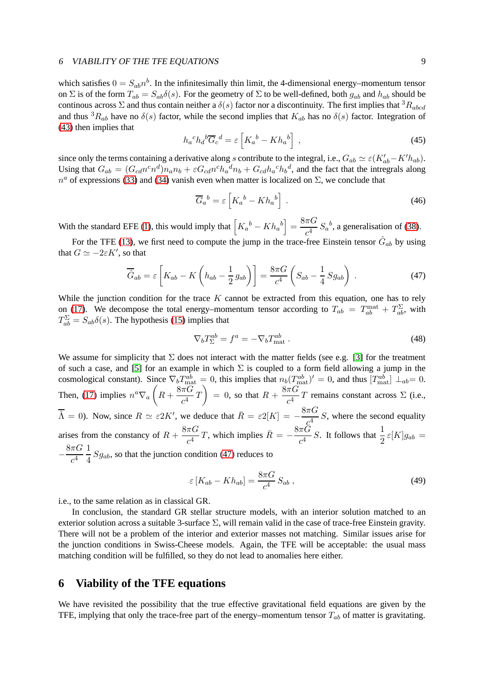#### <sup>6</sup> VIABILITY OF THE TFE EQUATIONS 9

which satisfies  $0 = S_{ab}n^b$ . In the infinitesimally thin limit, the 4-dimensional energy–momentum tensor on Σ is of the form  $T_{ab} = S_{ab}\delta(s)$ . For the geometry of Σ to be well-defined, both  $g_{ab}$  and  $h_{ab}$  should be continous across  $\Sigma$  and thus contain neither a  $\delta(s)$  factor nor a discontinuity. The first implies that  ${}^3R_{abcd}$ and thus  ${}^3R_{ab}$  have no  $\delta(s)$  factor, while the second implies that  $K_{ab}$  has no  $\delta(s)$  factor. Integration of [\(43\)](#page-7-0) then implies that

$$
h_a{}^c h_d{}^b \overline{G}_c{}^d = \varepsilon \left[ K_a{}^b - K h_a{}^b \right] \,, \tag{45}
$$

since only the terms containing a derivative along s contribute to the integral, i.e.,  $G_{ab} \simeq \varepsilon (K'_{ab} - K' h_{ab})$ . Using that  $G_{ab} = (G_{cd}n^c n^d)n_a n_b + \varepsilon G_{cd}n^c n_a^d n_b + G_{cd}n_a^c n_b^d$ , and the fact that the intregrals along  $n^a$  of expressions [\(33\)](#page-6-2) and [\(34\)](#page-6-2) vanish even when matter is localized on  $\Sigma$ , we conclude that

$$
\overline{G}_a{}^b = \varepsilon \left[ K_a{}^b - Kh_a{}^b \right] \,. \tag{46}
$$

With the standard EFE [\(1\)](#page-1-3), this would imply that  $\left[K_a{}^b - Kh_a{}^b\right] = \frac{8\pi G}{c^4}$  $\frac{d^{n}G}{c^{4}}S_{a}^{b}$ , a generalisation of [\(38\)](#page-7-1).

For the TFE [\(13\)](#page-3-1), we first need to compute the jump in the trace-free Einstein tensor  $\hat{G}_{ab}$  by using that  $G \simeq -2\varepsilon K'$ , so that

<span id="page-8-0"></span>
$$
\overline{\hat{G}}_{ab} = \varepsilon \left[ K_{ab} - K \left( h_{ab} - \frac{1}{2} g_{ab} \right) \right] = \frac{8\pi G}{c^4} \left( S_{ab} - \frac{1}{4} S g_{ab} \right) . \tag{47}
$$

While the junction condition for the trace  $K$  cannot be extracted from this equation, one has to rely on [\(17\)](#page-3-3). We decompose the total energy–momentum tensor according to  $T_{ab} = T_{ab}^{\text{mat}} + T_{ab}^{\Sigma}$ , with  $T_{ab}^{\Sigma} = S_{ab}\delta(s)$ . The hypothesis [\(15\)](#page-3-2) implies that

$$
\nabla_b T_{\Sigma}^{ab} = f^a = -\nabla_b T_{\text{mat}}^{ab} \,. \tag{48}
$$

We assume for simplicity that  $\Sigma$  does not interact with the matter fields (see e.g. [\[3\]](#page-9-5) for the treatment of such a case, and [\[5\]](#page-9-6) for an example in which  $\Sigma$  is coupled to a form field allowing a jump in the cosmological constant). Since  $\nabla_b T_{\text{mat}}^{ab} = 0$ , this implies that  $n_b(T_{\text{mat}}^{ab})' = 0$ , and thus  $[T_{\text{mat}}^{ab}] \perp_{ab} = 0$ . Then, [\(17\)](#page-3-3) implies  $n^a \nabla_a \left(R + \frac{8\pi G}{c^4}\right)$  $\left(\frac{\pi G}{c^4}T\right) = 0$ , so that  $R + \frac{8\pi G}{c^4}$  $\frac{R}{c^4}T$  remains constant across  $\Sigma$  (i.e.,  $\overline{\hat{\Lambda}} = 0$ ). Now, since  $R \simeq \varepsilon 2K'$ , we deduce that  $\overline{R} = \varepsilon 2[K] = -\frac{8\pi G}{c^4}$ c  $\frac{a}{4}$  S, where the second equality arises from the constancy of  $R + \frac{8\pi G}{4}$  $\frac{\pi G}{c^4}T$ , which implies  $\bar{R} = -\frac{8\pi G}{c^4}$  $\frac{\pi G}{c^4}$  S. It follows that  $\frac{1}{2} \varepsilon[K] g_{ab} =$ −  $8\pi G$  $c^4$ 1  $\frac{1}{4}$   $Sg_{ab}$ , so that the junction condition [\(47\)](#page-8-0) reduces to

$$
\varepsilon \left[ K_{ab} - Kh_{ab} \right] = \frac{8\pi G}{c^4} S_{ab} , \qquad (49)
$$

i.e., to the same relation as in classical GR.

In conclusion, the standard GR stellar structure models, with an interior solution matched to an exterior solution across a suitable 3-surface  $\Sigma$ , will remain valid in the case of trace-free Einstein gravity. There will not be a problem of the interior and exterior masses not matching. Similar issues arise for the junction conditions in Swiss-Cheese models. Again, the TFE will be acceptable: the usual mass matching condition will be fulfilled, so they do not lead to anomalies here either.

# **6 Viability of the TFE equations**

We have revisited the possibility that the true effective gravitational field equations are given by the TFE, implying that only the trace-free part of the energy–momentum tensor  $T_{ab}$  of matter is gravitating.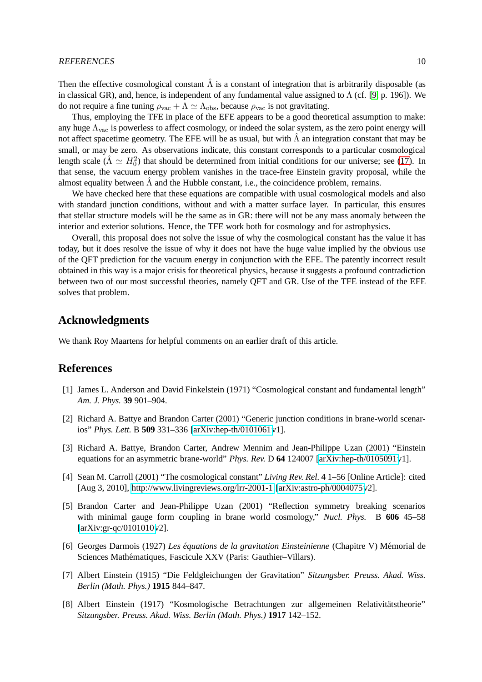Then the effective cosmological constant  $\hat{\Lambda}$  is a constant of integration that is arbitrarily disposable (as in classical GR), and, hence, is independent of any fundamental value assigned to  $\Lambda$  (cf. [\[9,](#page-10-5) p. 196]). We do not require a fine tuning  $\rho_{\text{vac}} + \Lambda \simeq \Lambda_{\text{obs}}$ , because  $\rho_{\text{vac}}$  is not gravitating.

Thus, employing the TFE in place of the EFE appears to be a good theoretical assumption to make: any huge  $\Lambda_{\text{vac}}$  is powerless to affect cosmology, or indeed the solar system, as the zero point energy will not affect spacetime geometry. The EFE will be as usual, but with  $\hat{\Lambda}$  an integration constant that may be small, or may be zero. As observations indicate, this constant corresponds to a particular cosmological length scale ( $\hat{\Lambda} \simeq H_0^2$ ) that should be determined from initial conditions for our universe; see [\(17\)](#page-3-3). In that sense, the vacuum energy problem vanishes in the trace-free Einstein gravity proposal, while the almost equality between  $\hat{\Lambda}$  and the Hubble constant, i.e., the coincidence problem, remains.

We have checked here that these equations are compatible with usual cosmological models and also with standard junction conditions, without and with a matter surface layer. In particular, this ensures that stellar structure models will be the same as in GR: there will not be any mass anomaly between the interior and exterior solutions. Hence, the TFE work both for cosmology and for astrophysics.

Overall, this proposal does not solve the issue of why the cosmological constant has the value it has today, but it does resolve the issue of why it does not have the huge value implied by the obvious use of the QFT prediction for the vacuum energy in conjunction with the EFE. The patently incorrect result obtained in this way is a major crisis for theoretical physics, because it suggests a profound contradiction between two of our most successful theories, namely QFT and GR. Use of the TFE instead of the EFE solves that problem.

## **Acknowledgments**

We thank Roy Maartens for helpful comments on an earlier draft of this article.

### <span id="page-9-3"></span>**References**

- [1] James L. Anderson and David Finkelstein (1971) "Cosmological constant and fundamental length" *Am. J. Phys.* **39** 901–904.
- [2] Richard A. Battye and Brandon Carter (2001) "Generic junction conditions in brane-world scenarios" *Phys. Lett.* B **509** 331–336 [\[arXiv:hep-th/0101061v](http://arxiv.org/abs/hep-th/0101061)1].
- <span id="page-9-5"></span>[3] Richard A. Battye, Brandon Carter, Andrew Mennim and Jean-Philippe Uzan (2001) "Einstein equations for an asymmetric brane-world" *Phys. Rev.* D **64** 124007 [\[arXiv:hep-th/0105091v](http://arxiv.org/abs/hep-th/0105091)1].
- <span id="page-9-0"></span>[4] Sean M. Carroll (2001) "The cosmological constant" *Living Rev. Rel.* **4** 1–56 [Online Article]: cited [Aug 3, 2010],<http://www.livingreviews.org/lrr-2001-1> [\[arXiv:astro-ph/0004075v](http://arxiv.org/abs/astro-ph/0004075)2].
- <span id="page-9-6"></span>[5] Brandon Carter and Jean-Philippe Uzan (2001) "Reflection symmetry breaking scenarios with minimal gauge form coupling in brane world cosmology," *Nucl. Phys.* B **606** 45–58 [\[arXiv:gr-qc/0101010v](http://arxiv.org/abs/gr-qc/0101010)2].
- <span id="page-9-4"></span>[6] Georges Darmois (1927) *Les equations de la gravitation Einsteinienne ´* (Chapitre V) M´emorial de Sciences Mathématiques, Fascicule XXV (Paris: Gauthier-Villars).
- <span id="page-9-1"></span>[7] Albert Einstein (1915) "Die Feldgleichungen der Gravitation" *Sitzungsber. Preuss. Akad. Wiss. Berlin (Math. Phys.)* **1915** 844–847.
- <span id="page-9-2"></span>[8] Albert Einstein (1917) "Kosmologische Betrachtungen zur allgemeinen Relativitätstheorie" *Sitzungsber. Preuss. Akad. Wiss. Berlin (Math. Phys.)* **1917** 142–152.